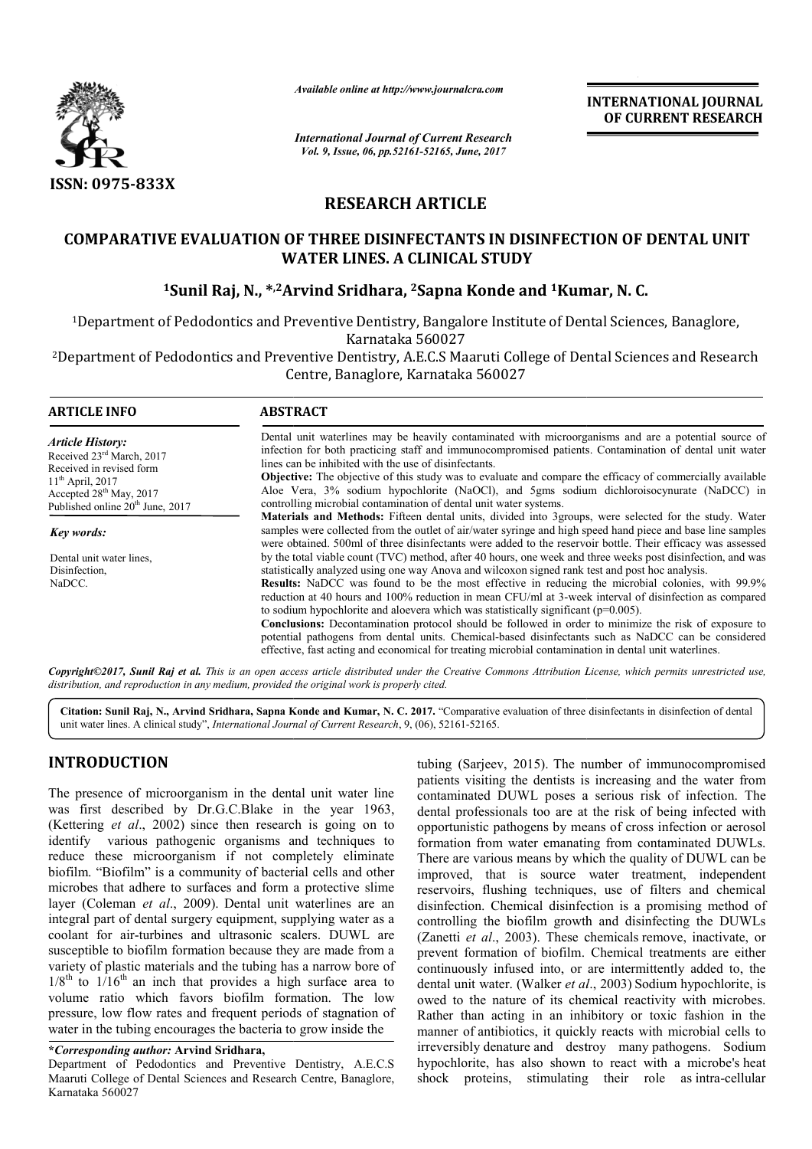

*Available online at http://www.journalcra.com*

*International Journal of Current Research Vol. 9, Issue, 06, pp.52161-52165, June, 2017*

**INTERNATIONAL JOURNAL OF CURRENT RESEARCH** 

# **RESEARCH ARTICLE**

## COMPARATIVE EVALUATION OF THREE DISINFECTANTS IN DISINFECTION OF DENTAL UNIT **WATER LINES. A CLINICAL STUDY**

## **1Sunil Raj, N., \*,2Arvind Sridhara Arvind Sridhara, 2Sapna Konde and 1Kumar Kumar, N. C.**

1Department of Pedodontics and Preventive Dentistry, Bangalore Institute of Dental Sciences, Banaglore, Karnataka 560027

<sup>2</sup>Department of Pedodontics and Preventive Dentistry, A.E.C.S Maaruti College of Dental Sciences and Research Centre, Banaglore, Karnataka 560027

| <b>ARTICLE INFO</b>                                                                                          | <b>ABSTRACT</b>                                                                                                                                                                                                                                                                                                                                                                                                                                                                                                                                                                                                                            |
|--------------------------------------------------------------------------------------------------------------|--------------------------------------------------------------------------------------------------------------------------------------------------------------------------------------------------------------------------------------------------------------------------------------------------------------------------------------------------------------------------------------------------------------------------------------------------------------------------------------------------------------------------------------------------------------------------------------------------------------------------------------------|
| <b>Article History:</b><br>Received 23 <sup>rd</sup> March, 2017<br>Received in revised form                 | Dental unit waterlines may be heavily contaminated with microorganisms and are a potential source of<br>infection for both practicing staff and immunocompromised patients. Contamination of dental unit water<br>lines can be inhibited with the use of disinfectants.                                                                                                                                                                                                                                                                                                                                                                    |
| $11^{th}$ April, 2017<br>Accepted 28 <sup>th</sup> May, 2017<br>Published online 20 <sup>th</sup> June, 2017 | <b>Objective:</b> The objective of this study was to evaluate and compare the efficacy of commercially available<br>Aloe Vera, 3% sodium hypochlorite (NaOCl), and 5gms sodium dichloroisocynurate (NaDCC) in<br>controlling microbial contamination of dental unit water systems.                                                                                                                                                                                                                                                                                                                                                         |
| Key words:                                                                                                   | Materials and Methods: Fifteen dental units, divided into 3groups, were selected for the study. Water<br>samples were collected from the outlet of air/water syringe and high speed hand piece and base line samples<br>were obtained. 500ml of three disinfectants were added to the reservoir bottle. Their efficacy was assessed                                                                                                                                                                                                                                                                                                        |
| Dental unit water lines.                                                                                     | by the total viable count (TVC) method, after 40 hours, one week and three weeks post disinfection, and was                                                                                                                                                                                                                                                                                                                                                                                                                                                                                                                                |
| Disinfection,                                                                                                | statistically analyzed using one way Anova and wilcoxon signed rank test and post hoc analysis.                                                                                                                                                                                                                                                                                                                                                                                                                                                                                                                                            |
| NaDCC.                                                                                                       | <b>Results:</b> NaDCC was found to be the most effective in reducing the microbial colonies, with 99.9%<br>reduction at 40 hours and 100% reduction in mean CFU/ml at 3-week interval of disinfection as compared<br>to sodium hypochlorite and aloever which was statistically significant ( $p=0.005$ ).<br><b>Conclusions:</b> Decontamination protocol should be followed in order to minimize the risk of exposure to<br>potential pathogens from dental units. Chemical-based disinfectants such as NaDCC can be considered<br>effective, fast acting and economical for treating microbial contamination in dental unit waterlines. |

*Copyright©2017, Sunil Raj et al. This is an open access article distributed under the Creative Commons Att Attribution License, which ribution permits unrestricted use, distribution, and reproduction in any medium, provided the original work is properly cited.*

Citation: Sunil Raj, N., Arvind Sridhara, Sapna Konde and Kumar, N. C. 2017. "Comparative evaluation of three disinfectants in disinfection of dental unit water lines. A clinical study", *International Journal of Current Research* , 9, (06), 52161-52165.

## **INTRODUCTION**

The presence of microorganism in the dental unit water line was first described by Dr.G.C.Blake in the year 1963, (Kettering *et al*., 2002) since then research is going on to identify various pathogenic organisms and techniques to reduce these microorganism if not completely eliminate biofilm. "Biofilm" is a community of bacterial cells and other microbes that adhere to surfaces and form a protective slime layer (Coleman *et al*., 2009). Dental unit waterlines are an integral part of dental surgery equipment, supplying water as a coolant for air-turbines and ultrasonic scalers. DUWL are susceptible to biofilm formation because they are made from a variety of plastic materials and the tubing has a narrow bore of  $1/8^{th}$  to  $1/16^{th}$  an inch that provides a high surface area to volume ratio which favors biofilm formation. The low pressure, low flow rates and frequent periods of stagnation of water in the tubing encourages the bacteria to grow inside the

**\****Corresponding author:* **Arvind Sridhara,** Department of Pedodontics and Preventive Dentistry, A.E.C.S Maaruti College of Dental Sciences and Research Centre, Banaglore, Karnataka 560027

**ICTION**<br> **ECTION**<br> **ECTION**<br> **ECTION**<br> **ECTION**<br> **ECTION**<br> **ECTION**<br> **ECTION**<br> **ECTION**<br> **ECTION**<br> **ECTION**<br> **ECTION**<br> **ECTION**<br> **ECTION**<br> **ECTION**<br> **ECTION**<br> **ECTION**<br> **ECTION**<br> **ECTION**<br> **ECTION**<br> **ECTION**<br> **ECTION**<br> patients visiting the dentists is increasing and the water from patients visiting the dentists is increasing and the water from contaminated DUWL poses a serious risk of infection. The dental professionals too are at the risk of being infected with opportunistic pathogens by means of cross infection or aerosol formation from water emanating from contaminated DUWLs. There are various means by which the quality of DUWL can be improved, that is source water treatment, independent reservoirs, flushing techniques, use of filters and chemical disinfection. Chemical disinfection is a promising method of controlling the biofilm growth and disinfecting the DUWLs (Zanetti *et al.*, 2003). These chemicals remove, inactivate, or prevent formation of biofilm. Chemical treatments are either prevent formation of biofilm. Chemical treatments are either continuously infused into, or are intermittently added to, the dental unit water. (Walker et al., 2003) Sodium hypochlorite, is owed to the nature of its chemical reactivity with microbes. Rather than acting in an inhibitory or toxic fashion in the manner of antibiotics, it quickly reacts with microbial cells to irreversibly denature and destroy many pathogens. Sodium hypochlorite, has also shown to react with a microbe's heat shock proteins, stimulating their role as intra-cellular dental professionals too are at the risk of being infected with opportunistic pathogens by means of cross infection or aerosol formation from water emanating from contaminated DUWLs. There are various means by which the q in acting in an inhibitory or toxic fashion in the antibiotics, it quickly reacts with microbial cells to  $\nu$  denature and destroy many pathogens. Sodium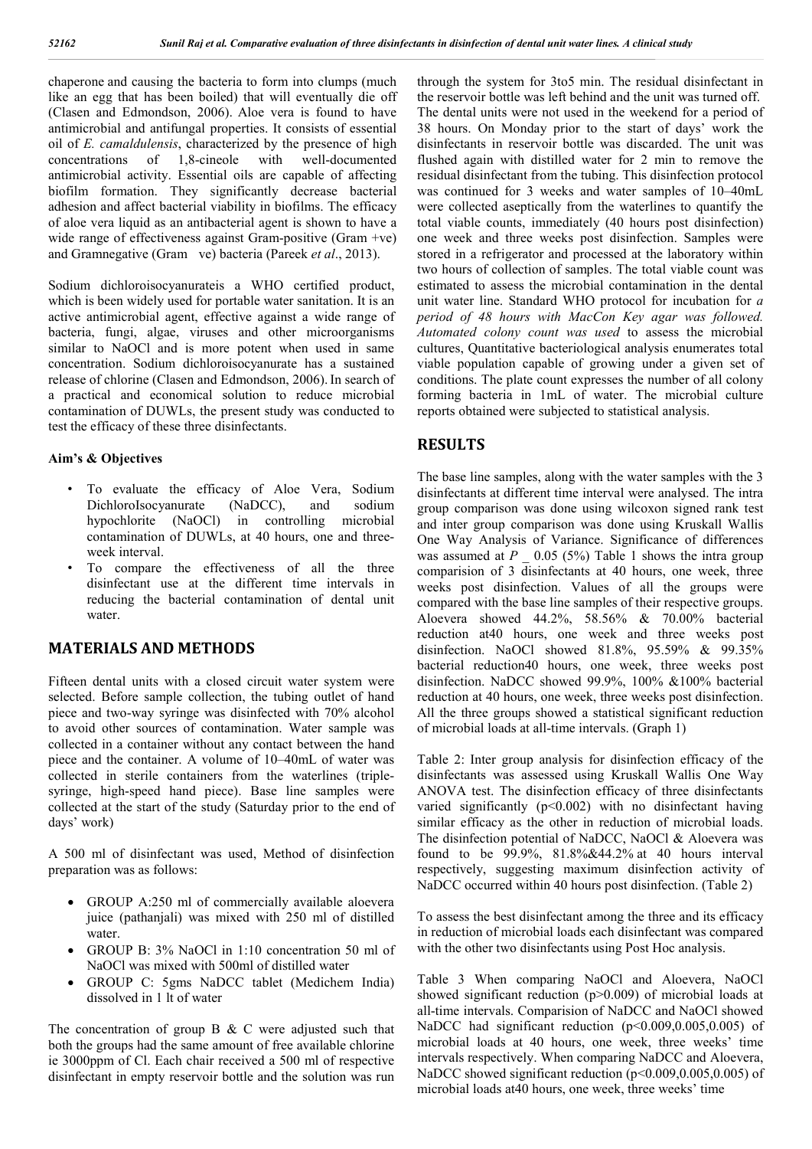chaperone and causing the bacteria to form into clumps (much like an egg that has been boiled) that will eventually die off (Clasen and Edmondson, 2006). Aloe vera is found to have antimicrobial and antifungal properties. It consists of essential oil of *E. camaldulensis*, characterized by the presence of high concentrations of 1,8-cineole with well-documented antimicrobial activity. Essential oils are capable of affecting biofilm formation. They significantly decrease bacterial adhesion and affect bacterial viability in biofilms. The efficacy of aloe vera liquid as an antibacterial agent is shown to have a wide range of effectiveness against Gram-positive (Gram +ve) and Gramnegative (Gram ve) bacteria (Pareek *et al*., 2013).

Sodium dichloroisocyanurateis a WHO certified product, which is been widely used for portable water sanitation. It is an active antimicrobial agent, effective against a wide range of bacteria, fungi, algae, viruses and other microorganisms similar to NaOCl and is more potent when used in same concentration. Sodium dichloroisocyanurate has a sustained release of chlorine (Clasen and Edmondson, 2006). In search of a practical and economical solution to reduce microbial contamination of DUWLs, the present study was conducted to test the efficacy of these three disinfectants.

#### **Aim's & Objectives**

- To evaluate the efficacy of Aloe Vera, Sodium DichloroIsocyanurate (NaDCC), and sodium hypochlorite (NaOCl) in controlling microbial contamination of DUWLs, at 40 hours, one and threeweek interval.
- To compare the effectiveness of all the three disinfectant use at the different time intervals in reducing the bacterial contamination of dental unit water.

## **MATERIALS AND METHODS**

Fifteen dental units with a closed circuit water system were selected. Before sample collection, the tubing outlet of hand piece and two-way syringe was disinfected with 70% alcohol to avoid other sources of contamination. Water sample was collected in a container without any contact between the hand piece and the container. A volume of 10–40mL of water was collected in sterile containers from the waterlines (triplesyringe, high-speed hand piece). Base line samples were collected at the start of the study (Saturday prior to the end of days' work)

A 500 ml of disinfectant was used, Method of disinfection preparation was as follows:

- GROUP A:250 ml of commercially available aloevera juice (pathanjali) was mixed with 250 ml of distilled water.
- GROUP B: 3% NaOCl in 1:10 concentration 50 ml of NaOCl was mixed with 500ml of distilled water
- GROUP C: 5gms NaDCC tablet (Medichem India) dissolved in 1 lt of water

The concentration of group B  $&$  C were adjusted such that both the groups had the same amount of free available chlorine ie 3000ppm of Cl. Each chair received a 500 ml of respective disinfectant in empty reservoir bottle and the solution was run through the system for 3to5 min. The residual disinfectant in the reservoir bottle was left behind and the unit was turned off. The dental units were not used in the weekend for a period of 38 hours. On Monday prior to the start of days' work the disinfectants in reservoir bottle was discarded. The unit was flushed again with distilled water for 2 min to remove the residual disinfectant from the tubing. This disinfection protocol was continued for 3 weeks and water samples of 10–40mL were collected aseptically from the waterlines to quantify the total viable counts, immediately (40 hours post disinfection) one week and three weeks post disinfection. Samples were stored in a refrigerator and processed at the laboratory within two hours of collection of samples. The total viable count was estimated to assess the microbial contamination in the dental unit water line. Standard WHO protocol for incubation for *a period of 48 hours with MacCon Key agar was followed. Automated colony count was used* to assess the microbial cultures, Quantitative bacteriological analysis enumerates total viable population capable of growing under a given set of conditions. The plate count expresses the number of all colony forming bacteria in 1mL of water. The microbial culture reports obtained were subjected to statistical analysis.

### **RESULTS**

The base line samples, along with the water samples with the 3 disinfectants at different time interval were analysed. The intra group comparison was done using wilcoxon signed rank test and inter group comparison was done using Kruskall Wallis One Way Analysis of Variance. Significance of differences was assumed at *P*  $0.05$  (5%) Table 1 shows the intra group comparision of 3 disinfectants at 40 hours, one week, three weeks post disinfection. Values of all the groups were compared with the base line samples of their respective groups. Aloevera showed 44.2%, 58.56% & 70.00% bacterial reduction at40 hours, one week and three weeks post disinfection. NaOCl showed 81.8%, 95.59% & 99.35% bacterial reduction40 hours, one week, three weeks post disinfection. NaDCC showed 99.9%, 100% &100% bacterial reduction at 40 hours, one week, three weeks post disinfection. All the three groups showed a statistical significant reduction of microbial loads at all-time intervals. (Graph 1)

Table 2: Inter group analysis for disinfection efficacy of the disinfectants was assessed using Kruskall Wallis One Way ANOVA test. The disinfection efficacy of three disinfectants varied significantly  $(p<0.002)$  with no disinfectant having similar efficacy as the other in reduction of microbial loads. The disinfection potential of NaDCC, NaOCl & Aloevera was found to be 99.9%, 81.8%&44.2% at 40 hours interval respectively, suggesting maximum disinfection activity of NaDCC occurred within 40 hours post disinfection. (Table 2)

To assess the best disinfectant among the three and its efficacy in reduction of microbial loads each disinfectant was compared with the other two disinfectants using Post Hoc analysis.

Table 3 When comparing NaOCl and Aloevera, NaOCl showed significant reduction (p>0.009) of microbial loads at all-time intervals. Comparision of NaDCC and NaOCl showed NaDCC had significant reduction (p<0.009,0.005,0.005) of microbial loads at 40 hours, one week, three weeks' time intervals respectively. When comparing NaDCC and Aloevera, NaDCC showed significant reduction (p<0.009,0.005,0.005) of microbial loads at40 hours, one week, three weeks' time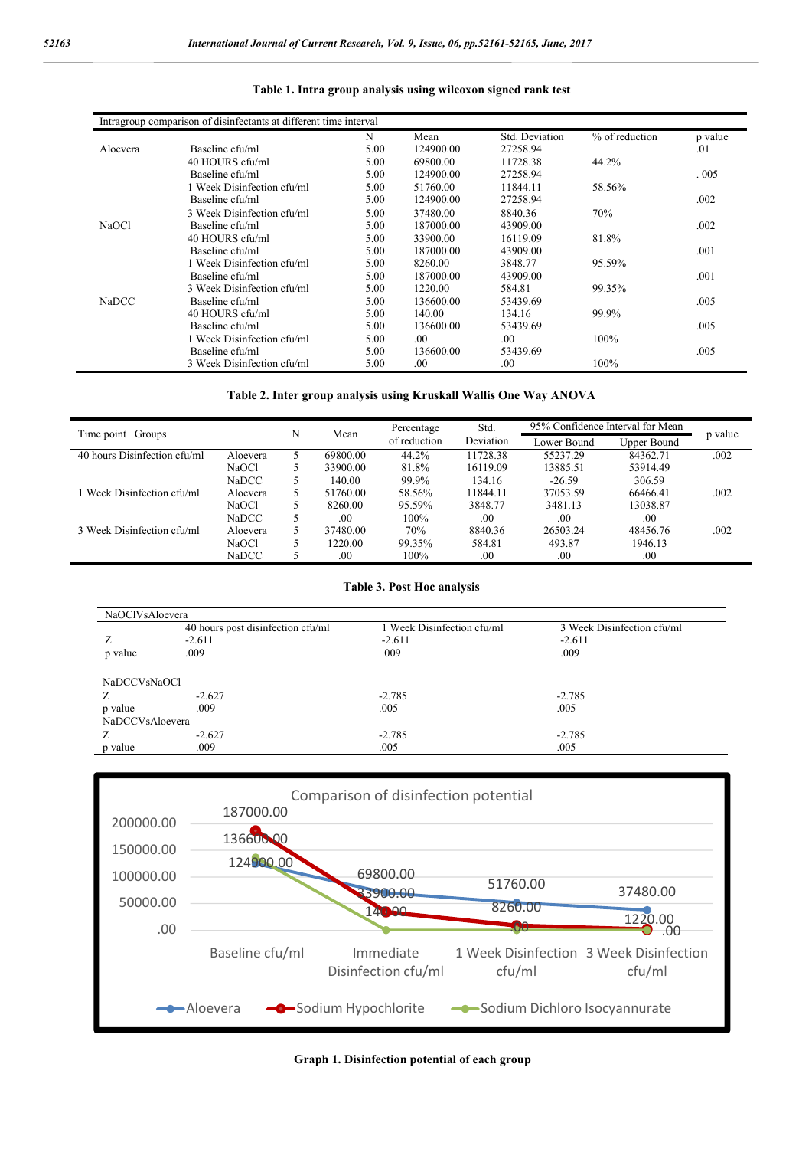|              | Intragroup comparison of disinfectants at different time interval |      |           |                |                |         |
|--------------|-------------------------------------------------------------------|------|-----------|----------------|----------------|---------|
|              |                                                                   | N    | Mean      | Std. Deviation | % of reduction | p value |
| Aloevera     | Baseline cfu/ml                                                   | 5.00 | 124900.00 | 27258.94       |                | .01     |
|              | 40 HOURS cfu/ml                                                   | 5.00 | 69800.00  | 11728.38       | 44.2%          |         |
|              | Baseline cfu/ml                                                   | 5.00 | 124900.00 | 27258.94       |                | .005    |
|              | 1 Week Disinfection cfu/ml                                        | 5.00 | 51760.00  | 11844.11       | 58.56%         |         |
|              | Baseline cfu/ml                                                   | 5.00 | 124900.00 | 27258.94       |                | .002    |
|              | 3 Week Disinfection cfu/ml                                        | 5.00 | 37480.00  | 8840.36        | 70%            |         |
| NaOCl        | Baseline cfu/ml                                                   | 5.00 | 187000.00 | 43909.00       |                | .002    |
|              | 40 HOURS cfu/ml                                                   | 5.00 | 33900.00  | 16119.09       | 81.8%          |         |
|              | Baseline cfu/ml                                                   | 5.00 | 187000.00 | 43909.00       |                | .001    |
|              | 1 Week Disinfection cfu/ml                                        | 5.00 | 8260.00   | 3848.77        | 95.59%         |         |
|              | Baseline cfu/ml                                                   | 5.00 | 187000.00 | 43909.00       |                | .001    |
|              | 3 Week Disinfection cfu/ml                                        | 5.00 | 1220.00   | 584.81         | 99.35%         |         |
| <b>NaDCC</b> | Baseline cfu/ml                                                   | 5.00 | 136600.00 | 53439.69       |                | .005    |
|              | 40 HOURS cfu/ml                                                   | 5.00 | 140.00    | 134.16         | 99.9%          |         |
|              | Baseline cfu/ml                                                   | 5.00 | 136600.00 | 53439.69       |                | .005    |
|              | 1 Week Disinfection cfu/ml                                        | 5.00 | .00.      | .00.           | $100\%$        |         |
|              | Baseline cfu/ml                                                   | 5.00 | 136600.00 | 53439.69       |                | .005    |
|              | 3 Week Disinfection cfu/ml                                        | 5.00 | .00.      | .00            | $100\%$        |         |

#### **Table 1. Intra group analysis using wilcoxon signed rank test**

### **Table 2. Inter group analysis using Kruskall Wallis One Way ANOVA**

|                              |              | N | Mean     | Percentage   | Std.      |             | 95% Confidence Interval for Mean |         |
|------------------------------|--------------|---|----------|--------------|-----------|-------------|----------------------------------|---------|
| Time point Groups            |              |   |          | of reduction | Deviation | Lower Bound | Upper Bound                      | p value |
| 40 hours Disinfection cfu/ml | Aloevera     |   | 69800.00 | 44.2%        | 11728.38  | 55237.29    | 84362.71                         | .002    |
|                              | NaOCl        | 5 | 33900.00 | 81.8%        | 16119.09  | 13885.51    | 53914.49                         |         |
|                              | <b>NaDCC</b> |   | 140.00   | 99.9%        | 134.16    | $-26.59$    | 306.59                           |         |
| 1 Week Disinfection cfu/ml   | Aloevera     | 5 | 51760.00 | 58.56%       | 11844.11  | 37053.59    | 66466.41                         | .002    |
|                              | NaOCl        |   | 8260.00  | 95.59%       | 3848.77   | 3481.13     | 13038.87                         |         |
|                              | <b>NaDCC</b> |   | .00      | 100%         | .00       | .00         | .00                              |         |
| 3 Week Disinfection cfu/ml   | Aloevera     | 5 | 37480.00 | 70%          | 8840.36   | 26503.24    | 48456.76                         | .002    |
|                              | NaOCl        | 5 | 1220.00  | 99.35%       | 584.81    | 493.87      | 1946.13                          |         |
|                              | <b>NaDCC</b> |   | .00.     | 100%         | $.00\,$   | $.00\,$     | .00.                             |         |

#### **Table 3. Post Hoc analysis**

| NaOClVsAloevera          |                                   |                            |                            |
|--------------------------|-----------------------------------|----------------------------|----------------------------|
|                          | 40 hours post disinfection cfu/ml | 1 Week Disinfection cfu/ml | 3 Week Disinfection cfu/ml |
|                          | $-2.611$                          | $-2.611$                   | $-2.611$                   |
| p value                  | .009                              | .009                       | .009                       |
|                          |                                   |                            |                            |
| NaDCCV <sub>sNaOCl</sub> |                                   |                            |                            |
|                          | $-2.627$                          | $-2.785$                   | $-2.785$                   |
| p value                  | .009                              | .005                       | .005                       |
| NaDCCVsAloevera          |                                   |                            |                            |
|                          | $-2.627$                          | $-2.785$                   | $-2.785$                   |
| p value                  | .009                              | .005                       | .005                       |



### **Graph 1. Disinfection potential of each group**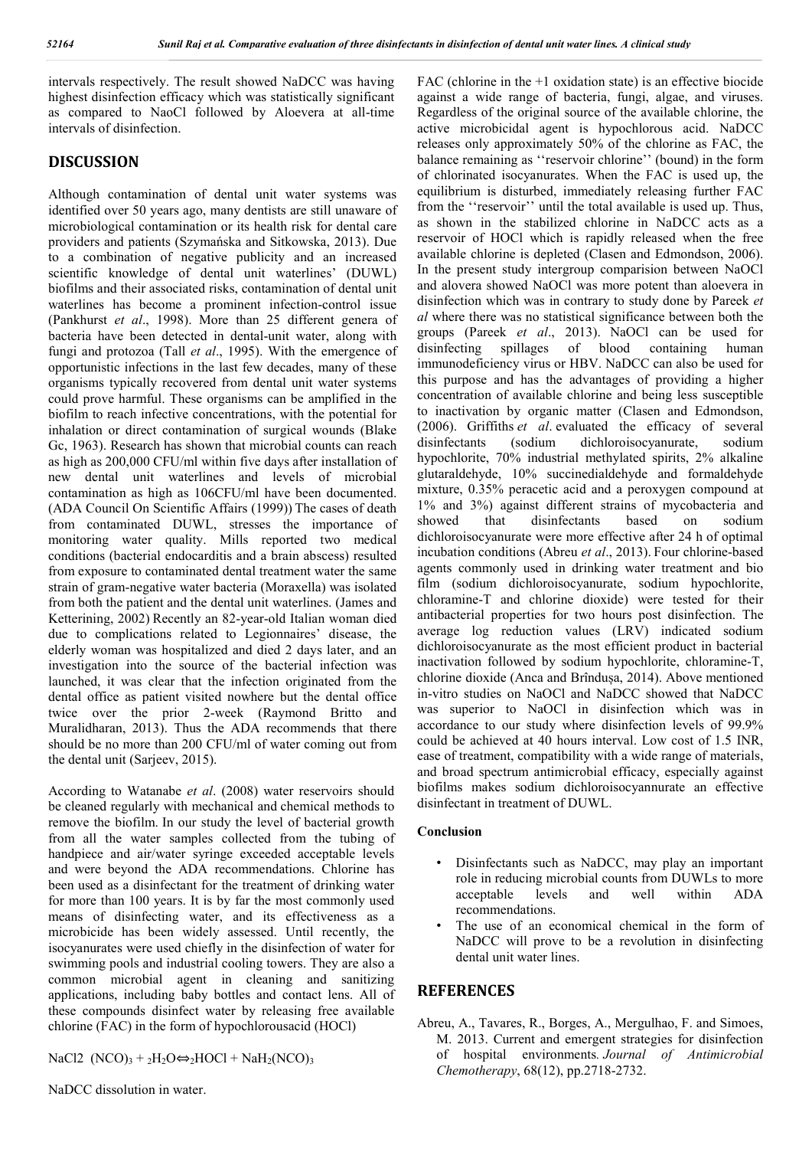intervals respectively. The result showed NaDCC was having highest disinfection efficacy which was statistically significant as compared to NaoCl followed by Aloevera at all-time intervals of disinfection.

## **DISCUSSION**

Although contamination of dental unit water systems was identified over 50 years ago, many dentists are still unaware of microbiological contamination or its health risk for dental care providers and patients (Szymańska and Sitkowska, 2013). Due to a combination of negative publicity and an increased scientific knowledge of dental unit waterlines' (DUWL) biofilms and their associated risks, contamination of dental unit waterlines has become a prominent infection-control issue (Pankhurst *et al*., 1998). More than 25 different genera of bacteria have been detected in dental-unit water, along with fungi and protozoa (Tall *et al*., 1995). With the emergence of opportunistic infections in the last few decades, many of these organisms typically recovered from dental unit water systems could prove harmful. These organisms can be amplified in the biofilm to reach infective concentrations, with the potential for inhalation or direct contamination of surgical wounds (Blake Gc, 1963). Research has shown that microbial counts can reach as high as 200,000 CFU/ml within five days after installation of new dental unit waterlines and levels of microbial contamination as high as 106CFU/ml have been documented. (ADA Council On Scientific Affairs (1999)) The cases of death from contaminated DUWL, stresses the importance of monitoring water quality. Mills reported two medical conditions (bacterial endocarditis and a brain abscess) resulted from exposure to contaminated dental treatment water the same strain of gram-negative water bacteria (Moraxella) was isolated from both the patient and the dental unit waterlines. (James and Ketterining, 2002) Recently an 82-year-old Italian woman died due to complications related to Legionnaires' disease, the elderly woman was hospitalized and died 2 days later, and an investigation into the source of the bacterial infection was launched, it was clear that the infection originated from the dental office as patient visited nowhere but the dental office twice over the prior 2-week (Raymond Britto and Muralidharan, 2013). Thus the ADA recommends that there should be no more than 200 CFU/ml of water coming out from the dental unit (Sarjeev, 2015).

According to Watanabe *et al*. (2008) water reservoirs should be cleaned regularly with mechanical and chemical methods to remove the biofilm. In our study the level of bacterial growth from all the water samples collected from the tubing of handpiece and air/water syringe exceeded acceptable levels and were beyond the ADA recommendations. Chlorine has been used as a disinfectant for the treatment of drinking water for more than 100 years. It is by far the most commonly used means of disinfecting water, and its effectiveness as a microbicide has been widely assessed. Until recently, the isocyanurates were used chiefly in the disinfection of water for swimming pools and industrial cooling towers. They are also a common microbial agent in cleaning and sanitizing applications, including baby bottles and contact lens. All of these compounds disinfect water by releasing free available chlorine (FAC) in the form of hypochlorousacid (HOCl)

NaCl2  $(NCO)_{3} + {}_{2}H_{2}O \Leftrightarrow {}_{2}HOC1 + NaH_{2}(NCO)_{3}$ 

FAC (chlorine in the +1 oxidation state) is an effective biocide against a wide range of bacteria, fungi, algae, and viruses. Regardless of the original source of the available chlorine, the active microbicidal agent is hypochlorous acid. NaDCC releases only approximately 50% of the chlorine as FAC, the balance remaining as ''reservoir chlorine'' (bound) in the form of chlorinated isocyanurates. When the FAC is used up, the equilibrium is disturbed, immediately releasing further FAC from the ''reservoir'' until the total available is used up. Thus, as shown in the stabilized chlorine in NaDCC acts as a reservoir of HOCl which is rapidly released when the free available chlorine is depleted (Clasen and Edmondson, 2006). In the present study intergroup comparision between NaOCl and alovera showed NaOCl was more potent than aloevera in disinfection which was in contrary to study done by Pareek *et al* where there was no statistical significance between both the groups (Pareek *et al*., 2013). NaOCl can be used for disinfecting spillages of blood containing human immunodeficiency virus or HBV. NaDCC can also be used for this purpose and has the advantages of providing a higher concentration of available chlorine and being less susceptible to inactivation by organic matter (Clasen and Edmondson, (2006). Griffiths *et al*. evaluated the efficacy of several disinfectants (sodium dichloroisocyanurate, sodium hypochlorite, 70% industrial methylated spirits, 2% alkaline glutaraldehyde, 10% succinedialdehyde and formaldehyde mixture, 0.35% peracetic acid and a peroxygen compound at 1% and 3%) against different strains of mycobacteria and showed that disinfectants based on sodium dichloroisocyanurate were more effective after 24 h of optimal incubation conditions (Abreu *et al*., 2013). Four chlorine-based agents commonly used in drinking water treatment and bio film (sodium dichloroisocyanurate, sodium hypochlorite, chloramine-T and chlorine dioxide) were tested for their antibacterial properties for two hours post disinfection. The average log reduction values (LRV) indicated sodium dichloroisocyanurate as the most efficient product in bacterial inactivation followed by sodium hypochlorite, chloramine-T, chlorine dioxide (Anca and Brîndușa, 2014). Above mentioned in-vitro studies on NaOCl and NaDCC showed that NaDCC was superior to NaOCl in disinfection which was in accordance to our study where disinfection levels of 99.9% could be achieved at 40 hours interval. Low cost of 1.5 INR, ease of treatment, compatibility with a wide range of materials, and broad spectrum antimicrobial efficacy, especially against biofilms makes sodium dichloroisocyannurate an effective disinfectant in treatment of DUWL.

#### **Conclusion**

- Disinfectants such as NaDCC, may play an important role in reducing microbial counts from DUWLs to more<br>acceptable levels and well within ADA acceptable recommendations.
- The use of an economical chemical in the form of NaDCC will prove to be a revolution in disinfecting dental unit water lines.

## **REFERENCES**

Abreu, A., Tavares, R., Borges, A., Mergulhao, F. and Simoes, M. 2013. Current and emergent strategies for disinfection of hospital environments*. Journal of Antimicrobial Chemotherapy*, 68(12), pp.2718-2732.